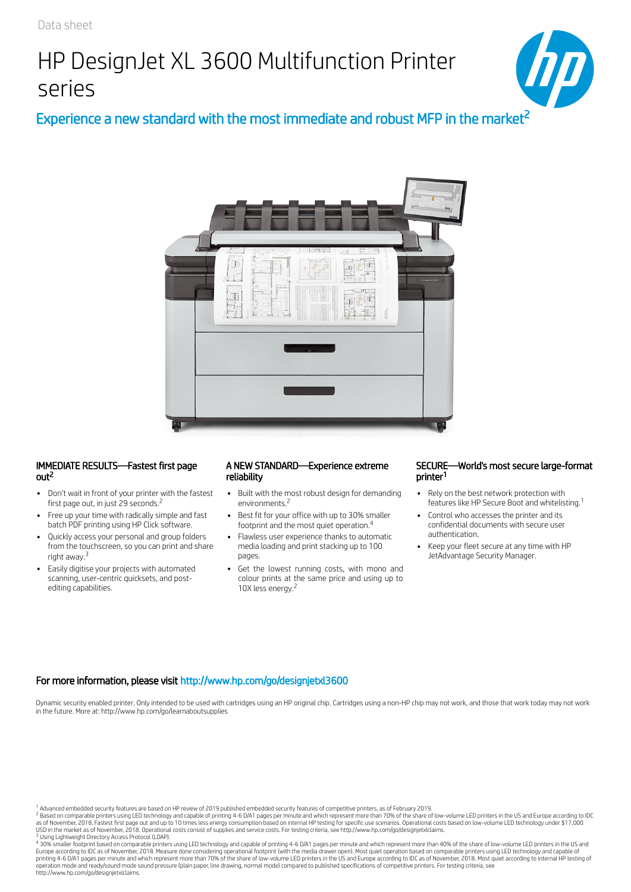# HP DesignJet XL 3600 Multifunction Printer series



Experience a new standard with the most immediate and robust MFP in the market<sup>2</sup>



### IMMEDIATE RESULTS—Fastest first page out<sup>2</sup>

- Don't wait in front of your printer with the fastest first page out, in just 29 seconds.<sup>2</sup>
- Free up your time with radically simple and fast batch PDF printing using HP Click software.
- Quickly access your personal and group folders from the touchscreen, so you can print and share right away.<sup>3</sup>
- Easily digitise your projects with automated scanning, user-centric quicksets, and postediting capabilities.

#### A NEW STANDARD—Experience extreme reliability 2 1

- Built with the most robust design for demanding environments.<sup>2</sup>
- Best fit for your office with up to 30% smaller footprint and the most quiet operation.<sup>4</sup>
- Flawless user experience thanks to automatic media loading and print stacking up to 100 pages.
- Get the lowest running costs, with mono and colour prints at the same price and using up to 10X less energy.<sup>2</sup>

#### SECURE—World's most secure large-format printer<sup>1</sup>

- Rely on the best network protection with features like HP Secure Boot and whitelisting. 1
- Control who accesses the printer and its confidential documents with secure user authentication.
- Keep your fleet secure at any time with HP JetAdvantage Security Manager.

## For more information, please visit http://www.hp.com/go/designjetxl3600

Dynamic security enabled printer. Only intended to be used with cartridges using an HP original chip. Cartridges using a non-HP chip may not work, and those that work today may not work in the future. More at: http://www.hp.com/go/learnaboutsupplies

 Advanced embedded security features are based on HP review of 2019 published embedded security features of competitive printers, as of February 2019. 1 2

<sup>3</sup> Using Lightweight Directory Access Protocol (LDAP).<br><sup>4</sup> 30% smaller footprint based on comparable printers using LED technology and capable of printing 4–6 D/A1 pages per minute and which represent more than 40% of the Europe according to IDC as of November, 2018. Measure done considering operational footprint (with the media drawer open). Most quiet operation based on comparable printers using LED technology and capable of<br>printing 4-6 http://www.hp.com/go/designjetxlclaims.

<sup>&</sup>lt;sup>2</sup> Based on comparable printers using LED technology and capable of printing 4-6 D/A1 pages per minute and which represent more than 70% of the share of low-volume LED printers in the US and Europe according to IDC<br>as of